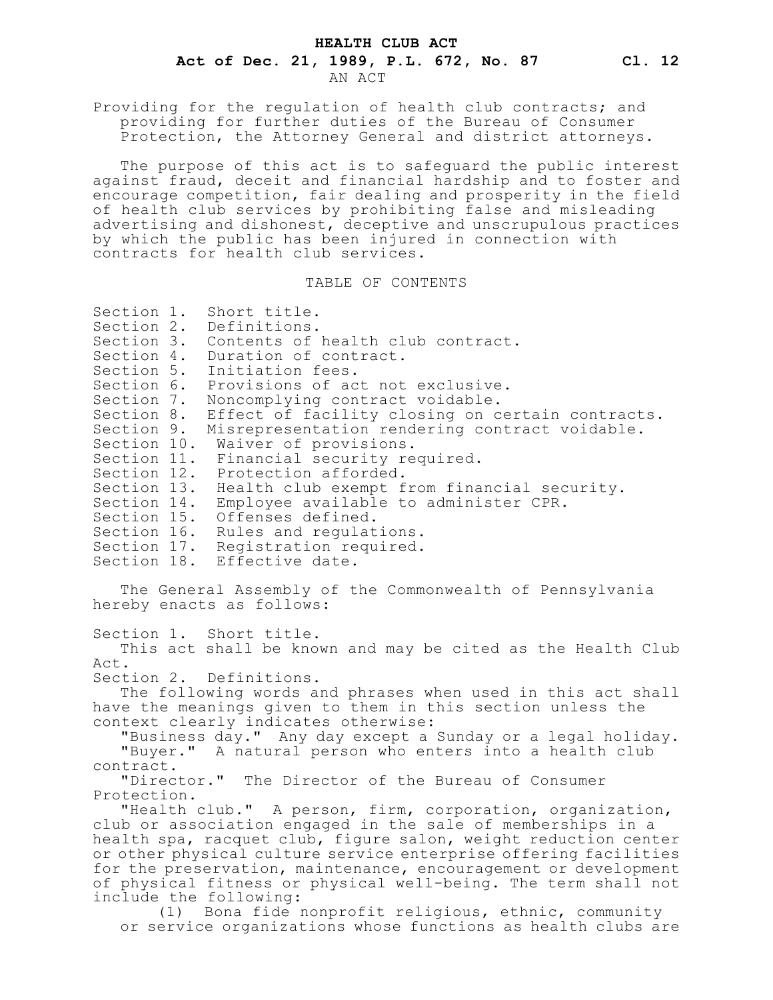Providing for the regulation of health club contracts; and providing for further duties of the Bureau of Consumer Protection, the Attorney General and district attorneys.

The purpose of this act is to safeguard the public interest against fraud, deceit and financial hardship and to foster and encourage competition, fair dealing and prosperity in the field of health club services by prohibiting false and misleading advertising and dishonest, deceptive and unscrupulous practices by which the public has been injured in connection with contracts for health club services.

## TABLE OF CONTENTS

| Section 1.                                                  | Short title.                                                                           |
|-------------------------------------------------------------|----------------------------------------------------------------------------------------|
| Section 2.                                                  | Definitions.                                                                           |
|                                                             | Section 3. Contents of health club contract.                                           |
|                                                             | Section 4. Duration of contract.                                                       |
|                                                             | Section 5. Initiation fees.                                                            |
| Section 7.                                                  | Section 6. Provisions of act not exclusive.                                            |
| Section 8.                                                  | Noncomplying contract voidable.<br>Effect of facility closing on certain contracts.    |
| Section 9.                                                  | Misrepresentation rendering contract voidable.                                         |
| Section 10.                                                 | Waiver of provisions.                                                                  |
|                                                             | Section 11. Financial security required.                                               |
| Section 12.                                                 | Protection afforded.                                                                   |
| Section 13.                                                 | Health club exempt from financial security.                                            |
| Section 14.                                                 | Employee available to administer CPR.                                                  |
| Section 15.                                                 | Offenses defined.                                                                      |
| Section 16.                                                 | Rules and regulations.                                                                 |
| Section 17.                                                 | Registration required.                                                                 |
|                                                             | Section 18. Effective date.                                                            |
|                                                             |                                                                                        |
|                                                             | The General Assembly of the Commonwealth of Pennsylvania                               |
|                                                             | hereby enacts as follows:                                                              |
|                                                             |                                                                                        |
|                                                             | Section 1. Short title.<br>This act shall be known and may be cited as the Health Club |
| Act.                                                        |                                                                                        |
|                                                             | Section 2. Definitions.                                                                |
|                                                             | The following words and phrases when used in this act shall                            |
|                                                             | have the meanings given to them in this section unless the                             |
|                                                             | context clearly indicates otherwise:                                                   |
|                                                             | "Business day." Any day except a Sunday or a legal holiday.                            |
|                                                             | "Buyer." A natural person who enters into a health club                                |
| contract.                                                   |                                                                                        |
|                                                             | "Director." The Director of the Bureau of Consumer                                     |
| Protection.                                                 |                                                                                        |
|                                                             | "Health club." A person, firm, corporation, organization,                              |
| club or association engaged in the sale of memberships in a |                                                                                        |

health spa, racquet club, figure salon, weight reduction center or other physical culture service enterprise offering facilities for the preservation, maintenance, encouragement or development of physical fitness or physical well-being. The term shall not include the following:

(1) Bona fide nonprofit religious, ethnic, community or service organizations whose functions as health clubs are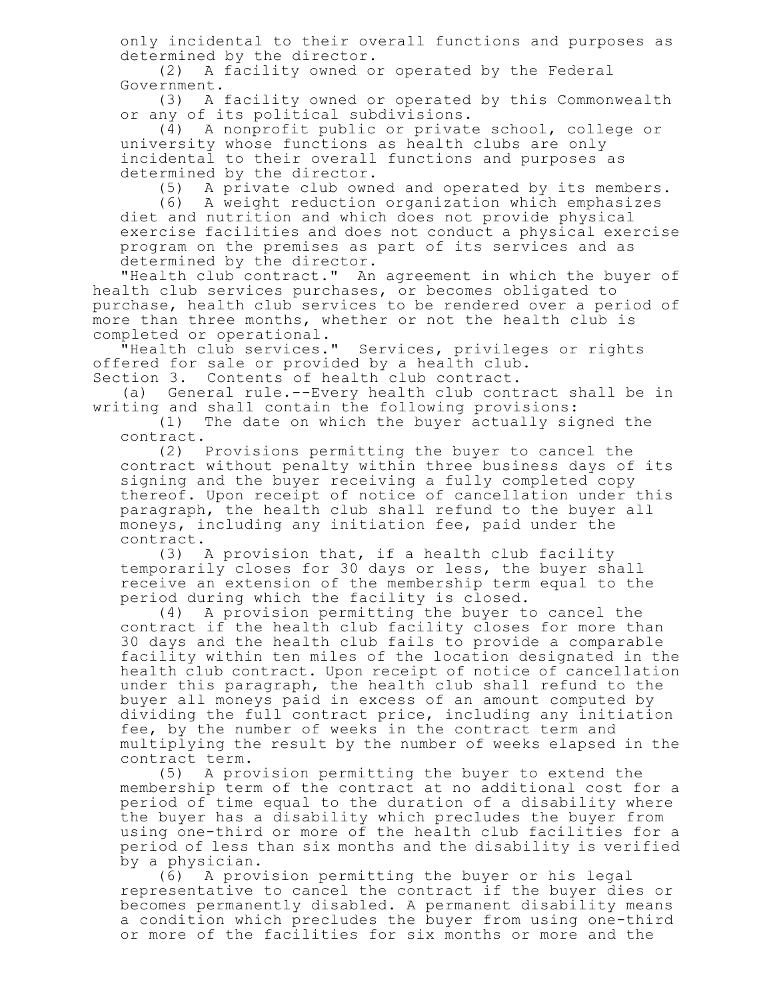only incidental to their overall functions and purposes as determined by the director.

(2) A facility owned or operated by the Federal Government.

(3) A facility owned or operated by this Commonwealth or any of its political subdivisions.

(4) A nonprofit public or private school, college or university whose functions as health clubs are only incidental to their overall functions and purposes as determined by the director.

(5) A private club owned and operated by its members.

(6) A weight reduction organization which emphasizes diet and nutrition and which does not provide physical exercise facilities and does not conduct a physical exercise program on the premises as part of its services and as determined by the director.

"Health club contract." An agreement in which the buyer of health club services purchases, or becomes obligated to purchase, health club services to be rendered over a period of more than three months, whether or not the health club is completed or operational.

"Health club services." Services, privileges or rights offered for sale or provided by a health club.

Section 3. Contents of health club contract.

(a) General rule.--Every health club contract shall be in writing and shall contain the following provisions:

(1) The date on which the buyer actually signed the contract.

(2) Provisions permitting the buyer to cancel the contract without penalty within three business days of its signing and the buyer receiving a fully completed copy thereof. Upon receipt of notice of cancellation under this paragraph, the health club shall refund to the buyer all moneys, including any initiation fee, paid under the contract.

(3) A provision that, if a health club facility temporarily closes for 30 days or less, the buyer shall receive an extension of the membership term equal to the period during which the facility is closed.

(4) A provision permitting the buyer to cancel the contract if the health club facility closes for more than 30 days and the health club fails to provide a comparable facility within ten miles of the location designated in the health club contract. Upon receipt of notice of cancellation under this paragraph, the health club shall refund to the buyer all moneys paid in excess of an amount computed by dividing the full contract price, including any initiation fee, by the number of weeks in the contract term and multiplying the result by the number of weeks elapsed in the contract term.

(5) A provision permitting the buyer to extend the membership term of the contract at no additional cost for a period of time equal to the duration of a disability where the buyer has a disability which precludes the buyer from using one-third or more of the health club facilities for a period of less than six months and the disability is verified by a physician.

(6) A provision permitting the buyer or his legal representative to cancel the contract if the buyer dies or becomes permanently disabled. A permanent disability means a condition which precludes the buyer from using one-third or more of the facilities for six months or more and the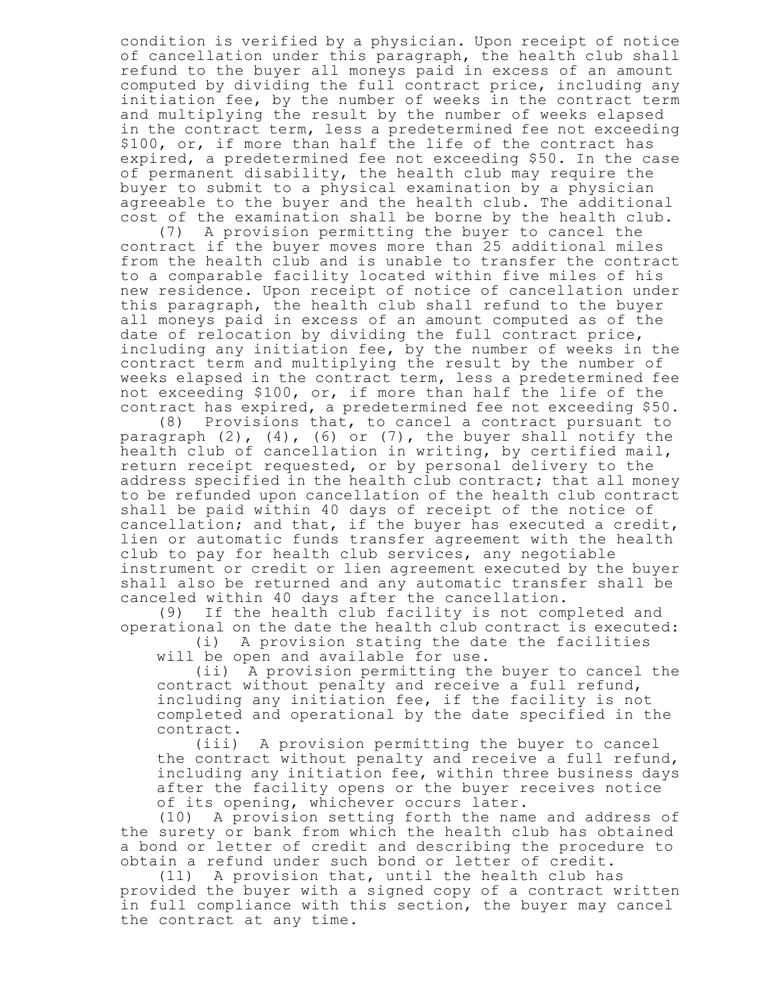condition is verified by a physician. Upon receipt of notice of cancellation under this paragraph, the health club shall refund to the buyer all moneys paid in excess of an amount computed by dividing the full contract price, including any initiation fee, by the number of weeks in the contract term and multiplying the result by the number of weeks elapsed in the contract term, less a predetermined fee not exceeding \$100, or, if more than half the life of the contract has expired, a predetermined fee not exceeding \$50. In the case of permanent disability, the health club may require the buyer to submit to a physical examination by a physician agreeable to the buyer and the health club. The additional cost of the examination shall be borne by the health club.

(7) A provision permitting the buyer to cancel the contract if the buyer moves more than 25 additional miles from the health club and is unable to transfer the contract to a comparable facility located within five miles of his new residence. Upon receipt of notice of cancellation under this paragraph, the health club shall refund to the buyer all moneys paid in excess of an amount computed as of the date of relocation by dividing the full contract price, including any initiation fee, by the number of weeks in the contract term and multiplying the result by the number of weeks elapsed in the contract term, less a predetermined fee not exceeding \$100, or, if more than half the life of the contract has expired, a predetermined fee not exceeding \$50.

(8) Provisions that, to cancel a contract pursuant to paragraph (2), (4), (6) or (7), the buyer shall notify the health club of cancellation in writing, by certified mail, return receipt requested, or by personal delivery to the address specified in the health club contract; that all money to be refunded upon cancellation of the health club contract shall be paid within 40 days of receipt of the notice of cancellation; and that, if the buyer has executed a credit, lien or automatic funds transfer agreement with the health club to pay for health club services, any negotiable instrument or credit or lien agreement executed by the buyer shall also be returned and any automatic transfer shall be canceled within 40 days after the cancellation.

(9) If the health club facility is not completed and operational on the date the health club contract is executed: (i) A provision stating the date the facilities

will be open and available for use.

(ii) A provision permitting the buyer to cancel the contract without penalty and receive a full refund, including any initiation fee, if the facility is not completed and operational by the date specified in the contract.

(iii) A provision permitting the buyer to cancel the contract without penalty and receive a full refund, including any initiation fee, within three business days after the facility opens or the buyer receives notice of its opening, whichever occurs later.

(10) A provision setting forth the name and address of the surety or bank from which the health club has obtained a bond or letter of credit and describing the procedure to obtain a refund under such bond or letter of credit.

(11) A provision that, until the health club has provided the buyer with a signed copy of a contract written in full compliance with this section, the buyer may cancel the contract at any time.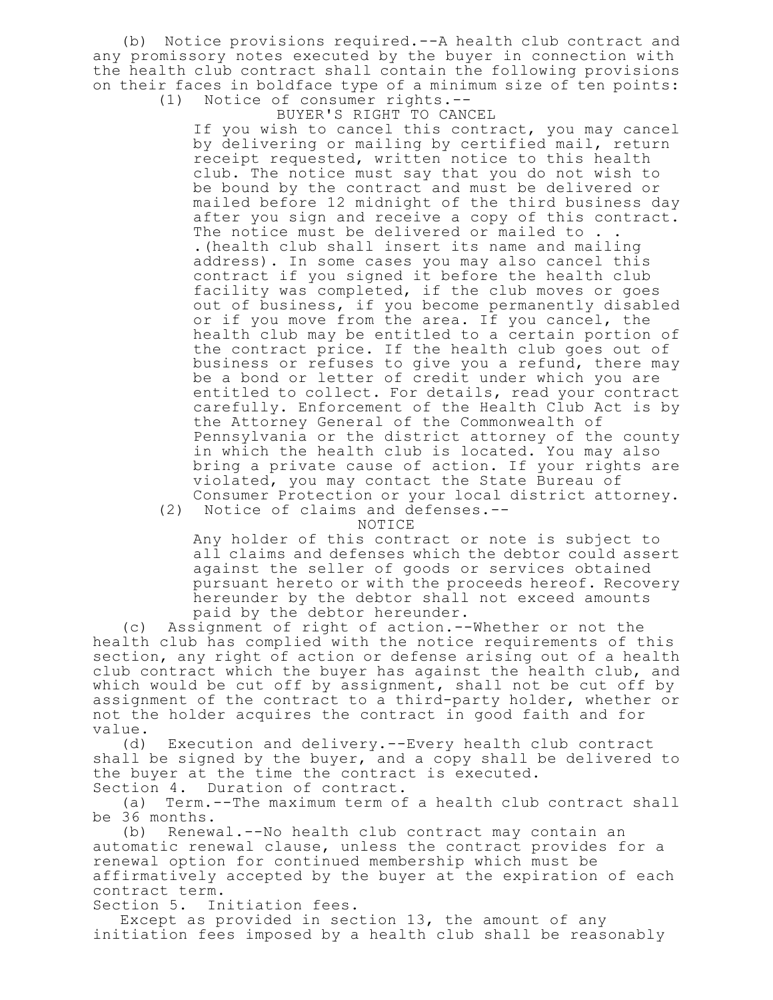(b) Notice provisions required.--A health club contract and any promissory notes executed by the buyer in connection with the health club contract shall contain the following provisions on their faces in boldface type of a minimum size of ten points: (1) Notice of consumer rights.--

BUYER'S RIGHT TO CANCEL

If you wish to cancel this contract, you may cancel by delivering or mailing by certified mail, return receipt requested, written notice to this health club. The notice must say that you do not wish to be bound by the contract and must be delivered or mailed before 12 midnight of the third business day after you sign and receive a copy of this contract. The notice must be delivered or mailed to . . .(health club shall insert its name and mailing address). In some cases you may also cancel this contract if you signed it before the health club facility was completed, if the club moves or goes out of business, if you become permanently disabled or if you move from the area. If you cancel, the health club may be entitled to a certain portion of the contract price. If the health club goes out of business or refuses to give you a refund, there may be a bond or letter of credit under which you are entitled to collect. For details, read your contract carefully. Enforcement of the Health Club Act is by the Attorney General of the Commonwealth of Pennsylvania or the district attorney of the county in which the health club is located. You may also bring a private cause of action. If your rights are violated, you may contact the State Bureau of Consumer Protection or your local district attorney.

(2) Notice of claims and defenses.--

NOTICE

Any holder of this contract or note is subject to all claims and defenses which the debtor could assert against the seller of goods or services obtained pursuant hereto or with the proceeds hereof. Recovery hereunder by the debtor shall not exceed amounts paid by the debtor hereunder.

(c) Assignment of right of action.--Whether or not the health club has complied with the notice requirements of this section, any right of action or defense arising out of a health club contract which the buyer has against the health club, and which would be cut off by assignment, shall not be cut off by assignment of the contract to a third-party holder, whether or not the holder acquires the contract in good faith and for value.

(d) Execution and delivery.--Every health club contract shall be signed by the buyer, and a copy shall be delivered to the buyer at the time the contract is executed. Section 4. Duration of contract.

(a) Term.--The maximum term of a health club contract shall be 36 months.

(b) Renewal.--No health club contract may contain an automatic renewal clause, unless the contract provides for a renewal option for continued membership which must be affirmatively accepted by the buyer at the expiration of each contract term.

Section 5. Initiation fees.

Except as provided in section 13, the amount of any initiation fees imposed by a health club shall be reasonably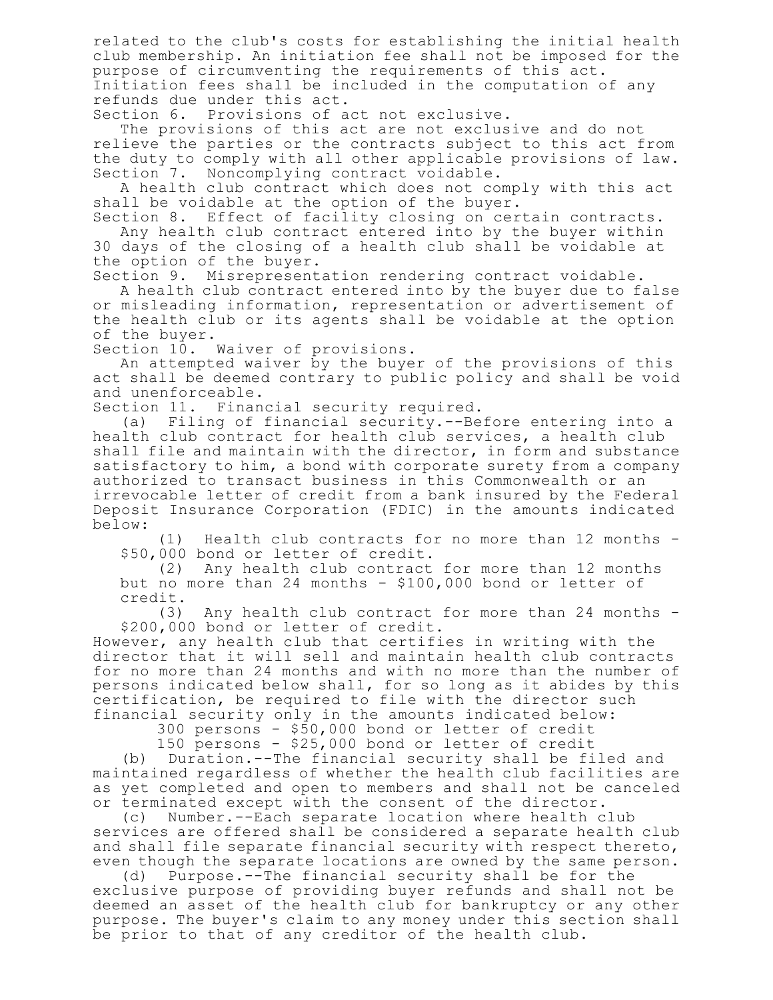related to the club's costs for establishing the initial health club membership. An initiation fee shall not be imposed for the purpose of circumventing the requirements of this act. Initiation fees shall be included in the computation of any refunds due under this act.

Section 6. Provisions of act not exclusive.

The provisions of this act are not exclusive and do not relieve the parties or the contracts subject to this act from the duty to comply with all other applicable provisions of law. Section 7. Noncomplying contract voidable.

A health club contract which does not comply with this act shall be voidable at the option of the buyer.

Section 8. Effect of facility closing on certain contracts. Any health club contract entered into by the buyer within 30 days of the closing of a health club shall be voidable at the option of the buyer.

Section 9. Misrepresentation rendering contract voidable.

A health club contract entered into by the buyer due to false or misleading information, representation or advertisement of the health club or its agents shall be voidable at the option of the buyer.

Section 10. Waiver of provisions.

An attempted waiver by the buyer of the provisions of this act shall be deemed contrary to public policy and shall be void and unenforceable.

Section 11. Financial security required.

(a) Filing of financial security.--Before entering into a health club contract for health club services, a health club shall file and maintain with the director, in form and substance satisfactory to him, a bond with corporate surety from a company authorized to transact business in this Commonwealth or an irrevocable letter of credit from a bank insured by the Federal Deposit Insurance Corporation (FDIC) in the amounts indicated below:

(1) Health club contracts for no more than 12 months - \$50,000 bond or letter of credit.

(2) Any health club contract for more than 12 months but no more than 24 months - \$100,000 bond or letter of

credit.<br>(3) Any health club contract for more than 24 months -\$200,000 bond or letter of credit.

However, any health club that certifies in writing with the director that it will sell and maintain health club contracts for no more than 24 months and with no more than the number of persons indicated below shall, for so long as it abides by this certification, be required to file with the director such financial security only in the amounts indicated below:

300 persons - \$50,000 bond or letter of credit

150 persons - \$25,000 bond or letter of credit

(b) Duration.--The financial security shall be filed and maintained regardless of whether the health club facilities are as yet completed and open to members and shall not be canceled or terminated except with the consent of the director.

(c) Number.--Each separate location where health club services are offered shall be considered a separate health club and shall file separate financial security with respect thereto, even though the separate locations are owned by the same person.

(d) Purpose.--The financial security shall be for the exclusive purpose of providing buyer refunds and shall not be deemed an asset of the health club for bankruptcy or any other purpose. The buyer's claim to any money under this section shall be prior to that of any creditor of the health club.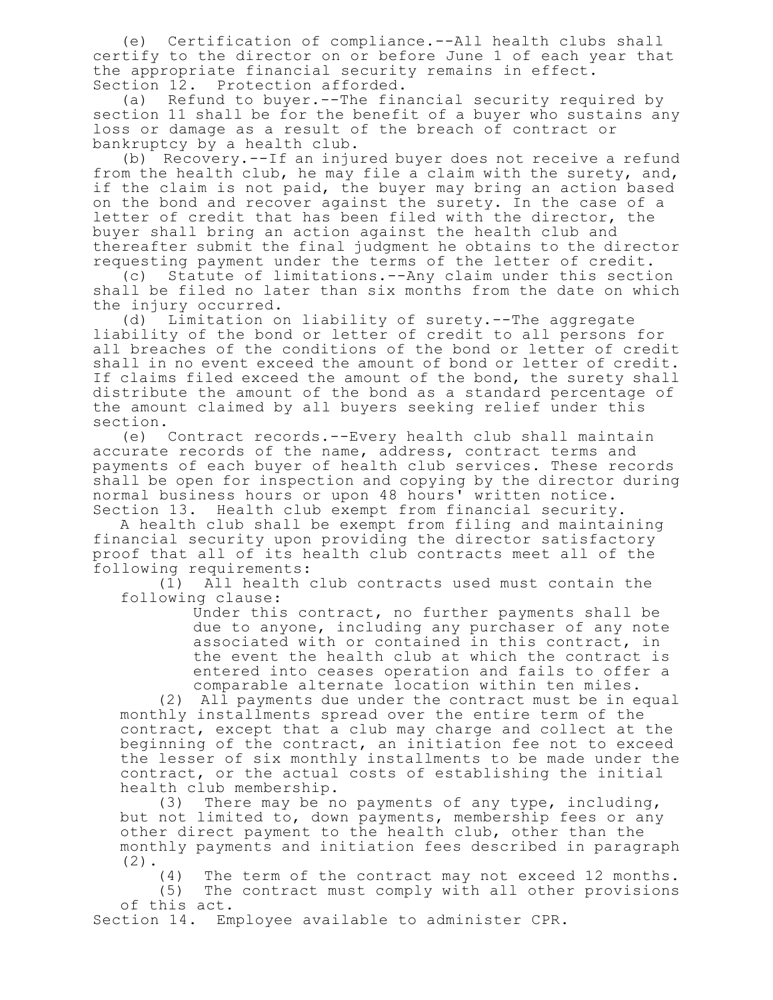(e) Certification of compliance.--All health clubs shall certify to the director on or before June 1 of each year that the appropriate financial security remains in effect. Section 12. Protection afforded.

(a) Refund to buyer.--The financial security required by section 11 shall be for the benefit of a buyer who sustains any loss or damage as a result of the breach of contract or bankruptcy by a health club.

(b) Recovery.--If an injured buyer does not receive a refund from the health club, he may file a claim with the surety, and, if the claim is not paid, the buyer may bring an action based on the bond and recover against the surety. In the case of a letter of credit that has been filed with the director, the buyer shall bring an action against the health club and thereafter submit the final judgment he obtains to the director requesting payment under the terms of the letter of credit.

(c) Statute of limitations.--Any claim under this section shall be filed no later than six months from the date on which the injury occurred.

(d) Limitation on liability of surety.--The aggregate liability of the bond or letter of credit to all persons for all breaches of the conditions of the bond or letter of credit shall in no event exceed the amount of bond or letter of credit. If claims filed exceed the amount of the bond, the surety shall distribute the amount of the bond as a standard percentage of the amount claimed by all buyers seeking relief under this section.

(e) Contract records.--Every health club shall maintain accurate records of the name, address, contract terms and payments of each buyer of health club services. These records shall be open for inspection and copying by the director during normal business hours or upon 48 hours' written notice. Section 13. Health club exempt from financial security.

A health club shall be exempt from filing and maintaining financial security upon providing the director satisfactory proof that all of its health club contracts meet all of the following requirements:

(1) All health club contracts used must contain the following clause:

Under this contract, no further payments shall be due to anyone, including any purchaser of any note associated with or contained in this contract, in the event the health club at which the contract is entered into ceases operation and fails to offer a comparable alternate location within ten miles.

(2) All payments due under the contract must be in equal monthly installments spread over the entire term of the contract, except that a club may charge and collect at the beginning of the contract, an initiation fee not to exceed the lesser of six monthly installments to be made under the contract, or the actual costs of establishing the initial health club membership.

(3) There may be no payments of any type, including, but not limited to, down payments, membership fees or any other direct payment to the health club, other than the monthly payments and initiation fees described in paragraph (2).

(4) The term of the contract may not exceed 12 months.

(5) The contract must comply with all other provisions of this act.

Section 14. Employee available to administer CPR.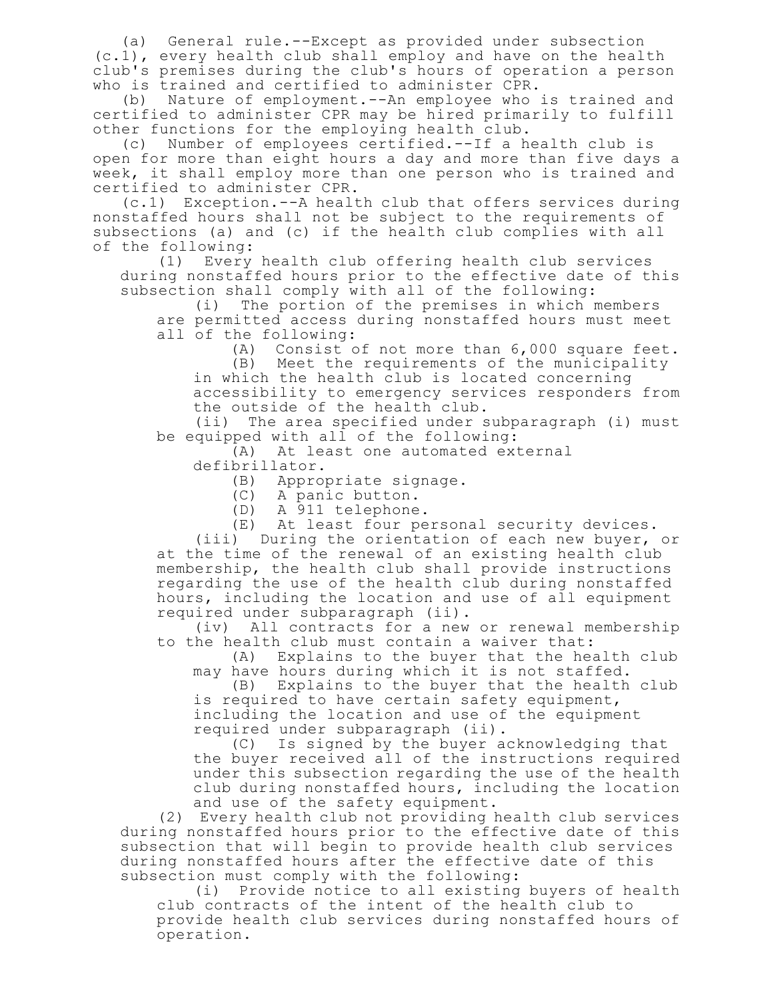(a) General rule.--Except as provided under subsection (c.1), every health club shall employ and have on the health club's premises during the club's hours of operation a person who is trained and certified to administer CPR.

(b) Nature of employment.--An employee who is trained and certified to administer CPR may be hired primarily to fulfill other functions for the employing health club.

(c) Number of employees certified.--If a health club is open for more than eight hours a day and more than five days a week, it shall employ more than one person who is trained and certified to administer CPR.

(c.1) Exception.--A health club that offers services during nonstaffed hours shall not be subject to the requirements of subsections (a) and (c) if the health club complies with all of the following:

(1) Every health club offering health club services during nonstaffed hours prior to the effective date of this subsection shall comply with all of the following:<br>(i) The portion of the premises in which r

The portion of the premises in which members are permitted access during nonstaffed hours must meet all of the following:

(A) Consist of not more than 6,000 square feet.

(B) Meet the requirements of the municipality in which the health club is located concerning accessibility to emergency services responders from the outside of the health club.

(ii) The area specified under subparagraph (i) must be equipped with all of the following:

(A) At least one automated external defibrillator.

(B) Appropriate signage.

(C) A panic button.

(D) A 911 telephone.

(E) At least four personal security devices.

(iii) During the orientation of each new buyer, or at the time of the renewal of an existing health club membership, the health club shall provide instructions regarding the use of the health club during nonstaffed hours, including the location and use of all equipment required under subparagraph (ii).

(iv) All contracts for a new or renewal membership to the health club must contain a waiver that:

(A) Explains to the buyer that the health club may have hours during which it is not staffed.

(B) Explains to the buyer that the health club is required to have certain safety equipment,

including the location and use of the equipment required under subparagraph (ii).

(C) Is signed by the buyer acknowledging that the buyer received all of the instructions required under this subsection regarding the use of the health club during nonstaffed hours, including the location and use of the safety equipment.

(2) Every health club not providing health club services during nonstaffed hours prior to the effective date of this subsection that will begin to provide health club services during nonstaffed hours after the effective date of this subsection must comply with the following:

(i) Provide notice to all existing buyers of health club contracts of the intent of the health club to provide health club services during nonstaffed hours of operation.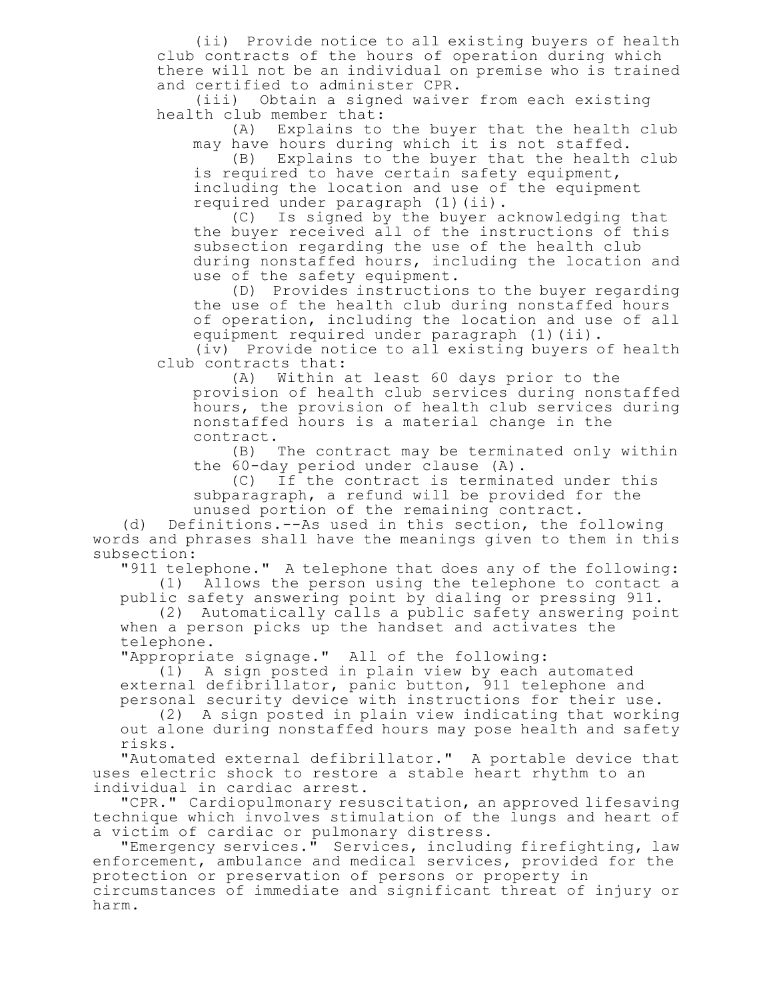(ii) Provide notice to all existing buyers of health club contracts of the hours of operation during which there will not be an individual on premise who is trained and certified to administer CPR.

(iii) Obtain a signed waiver from each existing health club member that:

(A) Explains to the buyer that the health club may have hours during which it is not staffed.

(B) Explains to the buyer that the health club is required to have certain safety equipment, including the location and use of the equipment required under paragraph (1)(ii).

(C) Is signed by the buyer acknowledging that the buyer received all of the instructions of this subsection regarding the use of the health club during nonstaffed hours, including the location and use of the safety equipment.

(D) Provides instructions to the buyer regarding the use of the health club during nonstaffed hours of operation, including the location and use of all equipment required under paragraph (1)(ii).

(iv) Provide notice to all existing buyers of health club contracts that:

(A) Within at least 60 days prior to the provision of health club services during nonstaffed hours, the provision of health club services during nonstaffed hours is a material change in the contract.

(B) The contract may be terminated only within the 60-day period under clause (A).

(C) If the contract is terminated under this subparagraph, a refund will be provided for the unused portion of the remaining contract.

(d) Definitions.--As used in this section, the following words and phrases shall have the meanings given to them in this subsection:

"911 telephone." A telephone that does any of the following: (1) Allows the person using the telephone to contact a

public safety answering point by dialing or pressing 911. (2) Automatically calls a public safety answering point

when a person picks up the handset and activates the telephone.

"Appropriate signage." All of the following:

(1) A sign posted in plain view by each automated external defibrillator, panic button, 911 telephone and personal security device with instructions for their use.

(2) A sign posted in plain view indicating that working out alone during nonstaffed hours may pose health and safety risks.

"Automated external defibrillator." A portable device that uses electric shock to restore a stable heart rhythm to an individual in cardiac arrest.

"CPR." Cardiopulmonary resuscitation, an approved lifesaving technique which involves stimulation of the lungs and heart of a victim of cardiac or pulmonary distress.

"Emergency services." Services, including firefighting, law enforcement, ambulance and medical services, provided for the protection or preservation of persons or property in circumstances of immediate and significant threat of injury or harm.